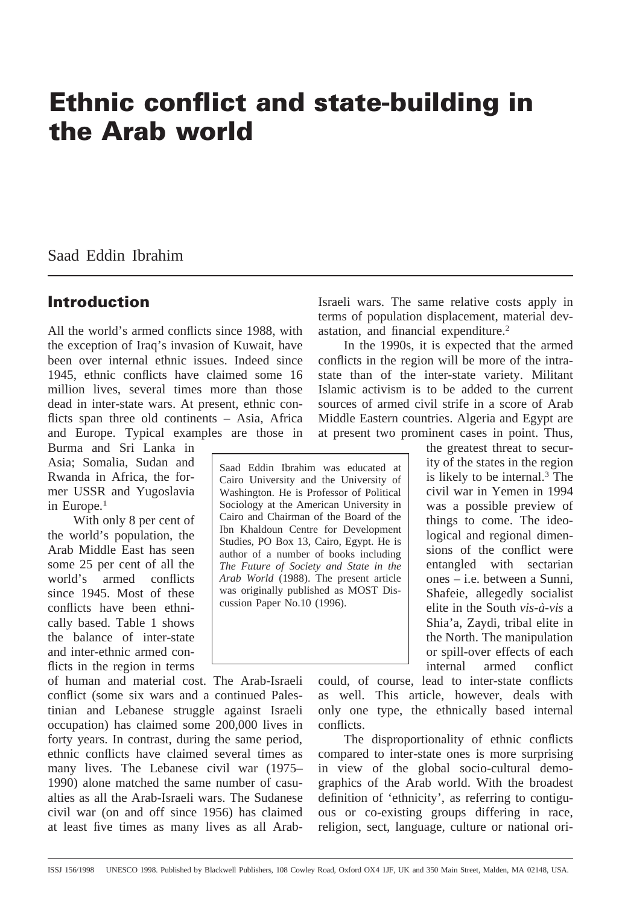# **Ethnic conflict and state-building in the Arab world**

# Saad Eddin Ibrahim

# **Introduction**

All the world's armed conflicts since 1988, with the exception of Iraq's invasion of Kuwait, have been over internal ethnic issues. Indeed since 1945, ethnic conflicts have claimed some 16 million lives, several times more than those dead in inter-state wars. At present, ethnic conflicts span three old continents – Asia, Africa and Europe. Typical examples are those in

Burma and Sri Lanka in Asia; Somalia, Sudan and Rwanda in Africa, the former USSR and Yugoslavia in Europe. $<sup>1</sup>$ </sup>

With only 8 per cent of the world's population, the Arab Middle East has seen some 25 per cent of all the world's armed conflicts since 1945. Most of these conflicts have been ethnically based. Table 1 shows the balance of inter-state and inter-ethnic armed conflicts in the region in terms

of human and material cost. The Arab-Israeli conflict (some six wars and a continued Palestinian and Lebanese struggle against Israeli occupation) has claimed some 200,000 lives in forty years. In contrast, during the same period, ethnic conflicts have claimed several times as many lives. The Lebanese civil war (1975– 1990) alone matched the same number of casualties as all the Arab-Israeli wars. The Sudanese civil war (on and off since 1956) has claimed at least five times as many lives as all ArabIsraeli wars. The same relative costs apply in terms of population displacement, material devastation, and financial expenditure.<sup>2</sup>

In the 1990s, it is expected that the armed conflicts in the region will be more of the intrastate than of the inter-state variety. Militant Islamic activism is to be added to the current sources of armed civil strife in a score of Arab Middle Eastern countries. Algeria and Egypt are at present two prominent cases in point. Thus,

> the greatest threat to security of the states in the region is likely to be internal.<sup>3</sup> The civil war in Yemen in 1994 was a possible preview of things to come. The ideological and regional dimensions of the conflict were entangled with sectarian ones – i.e. between a Sunni, Shafeie, allegedly socialist elite in the South *vis-a`-vis* a Shia'a, Zaydi, tribal elite in the North. The manipulation or spill-over effects of each internal armed conflict

could, of course, lead to inter-state conflicts as well. This article, however, deals with only one type, the ethnically based internal conflicts.

The disproportionality of ethnic conflicts compared to inter-state ones is more surprising in view of the global socio-cultural demographics of the Arab world. With the broadest definition of 'ethnicity', as referring to contiguous or co-existing groups differing in race, religion, sect, language, culture or national ori-

Saad Eddin Ibrahim was educated at Cairo University and the University of Washington. He is Professor of Political Sociology at the American University in Cairo and Chairman of the Board of the Ibn Khaldoun Centre for Development Studies, PO Box 13, Cairo, Egypt. He is author of a number of books including *The Future of Society and State in the Arab World* (1988). The present article was originally published as MOST Dis-

cussion Paper No.10 (1996).

ISSJ 156/1998 UNESCO 1998. Published by Blackwell Publishers, 108 Cowley Road, Oxford OX4 1JF, UK and 350 Main Street, Malden, MA 02148, USA.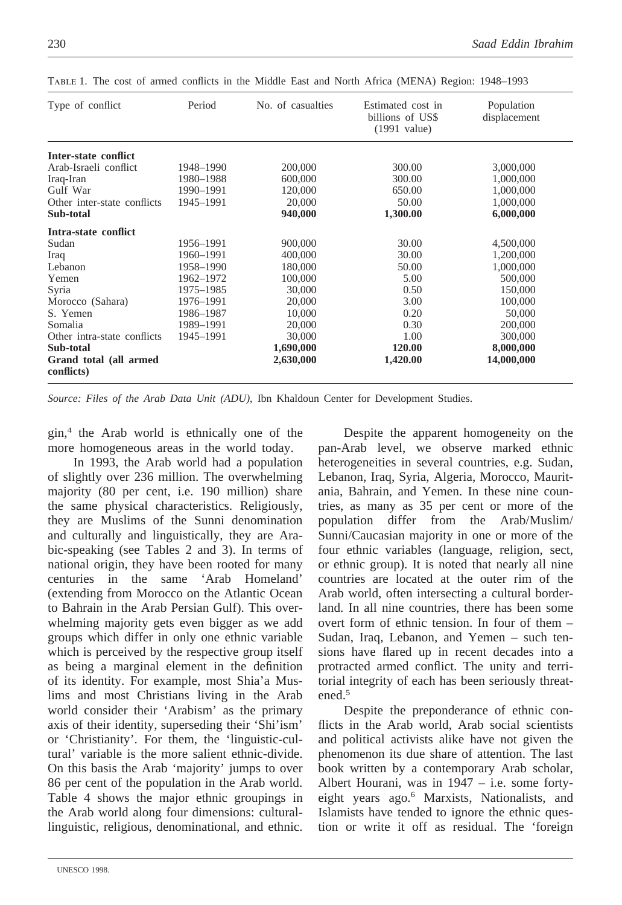| Type of conflict                     | Period    | No. of casualties | Estimated cost in<br>billions of US\$<br>$(1991 \text{ value})$ | Population<br>displacement |
|--------------------------------------|-----------|-------------------|-----------------------------------------------------------------|----------------------------|
| Inter-state conflict                 |           |                   |                                                                 |                            |
| Arab-Israeli conflict                | 1948-1990 | 200,000           | 300.00                                                          | 3,000,000                  |
| Iraq-Iran                            | 1980-1988 | 600,000           | 300.00                                                          | 1,000,000                  |
| Gulf War                             | 1990-1991 | 120,000           | 650.00                                                          | 1,000,000                  |
| Other inter-state conflicts          | 1945-1991 | 20,000            | 50.00                                                           | 1,000,000                  |
| Sub-total                            |           | 940,000           | 1,300.00                                                        | 6,000,000                  |
| Intra-state conflict                 |           |                   |                                                                 |                            |
| Sudan                                | 1956-1991 | 900,000           | 30.00                                                           | 4,500,000                  |
| Iraq                                 | 1960-1991 | 400,000           | 30.00                                                           | 1,200,000                  |
| Lebanon                              | 1958-1990 | 180,000           | 50.00                                                           | 1,000,000                  |
| Yemen                                | 1962-1972 | 100,000           | 5.00                                                            | 500,000                    |
| Syria                                | 1975-1985 | 30,000            | 0.50                                                            | 150,000                    |
| Morocco (Sahara)                     | 1976-1991 | 20,000            | 3.00                                                            | 100,000                    |
| S. Yemen                             | 1986-1987 | 10,000            | 0.20                                                            | 50,000                     |
| Somalia                              | 1989-1991 | 20,000            | 0.30                                                            | 200,000                    |
| Other intra-state conflicts          | 1945-1991 | 30,000            | 1.00                                                            | 300,000                    |
| Sub-total                            |           | 1,690,000         | 120.00                                                          | 8,000,000                  |
| Grand total (all armed<br>conflicts) |           | 2,630,000         | 1,420.00                                                        | 14,000,000                 |

Table 1. The cost of armed conflicts in the Middle East and North Africa (MENA) Region: 1948–1993

*Source: Files of the Arab Data Unit (ADU)*, Ibn Khaldoun Center for Development Studies.

gin,4 the Arab world is ethnically one of the more homogeneous areas in the world today.

In 1993, the Arab world had a population of slightly over 236 million. The overwhelming majority (80 per cent, i.e. 190 million) share the same physical characteristics. Religiously, they are Muslims of the Sunni denomination and culturally and linguistically, they are Arabic-speaking (see Tables 2 and 3). In terms of national origin, they have been rooted for many centuries in the same 'Arab Homeland' (extending from Morocco on the Atlantic Ocean to Bahrain in the Arab Persian Gulf). This overwhelming majority gets even bigger as we add groups which differ in only one ethnic variable which is perceived by the respective group itself as being a marginal element in the definition of its identity. For example, most Shia'a Muslims and most Christians living in the Arab world consider their 'Arabism' as the primary axis of their identity, superseding their 'Shi'ism' or 'Christianity'. For them, the 'linguistic-cultural' variable is the more salient ethnic-divide. On this basis the Arab 'majority' jumps to over 86 per cent of the population in the Arab world. Table 4 shows the major ethnic groupings in the Arab world along four dimensions: culturallinguistic, religious, denominational, and ethnic.

Despite the apparent homogeneity on the pan-Arab level, we observe marked ethnic heterogeneities in several countries, e.g. Sudan, Lebanon, Iraq, Syria, Algeria, Morocco, Mauritania, Bahrain, and Yemen. In these nine countries, as many as 35 per cent or more of the population differ from the Arab/Muslim/ Sunni/Caucasian majority in one or more of the four ethnic variables (language, religion, sect, or ethnic group). It is noted that nearly all nine countries are located at the outer rim of the Arab world, often intersecting a cultural borderland. In all nine countries, there has been some overt form of ethnic tension. In four of them – Sudan, Iraq, Lebanon, and Yemen – such tensions have flared up in recent decades into a protracted armed conflict. The unity and territorial integrity of each has been seriously threatened.<sup>5</sup>

Despite the preponderance of ethnic conflicts in the Arab world, Arab social scientists and political activists alike have not given the phenomenon its due share of attention. The last book written by a contemporary Arab scholar, Albert Hourani, was in 1947 – i.e. some fortyeight years ago.6 Marxists, Nationalists, and Islamists have tended to ignore the ethnic question or write it off as residual. The 'foreign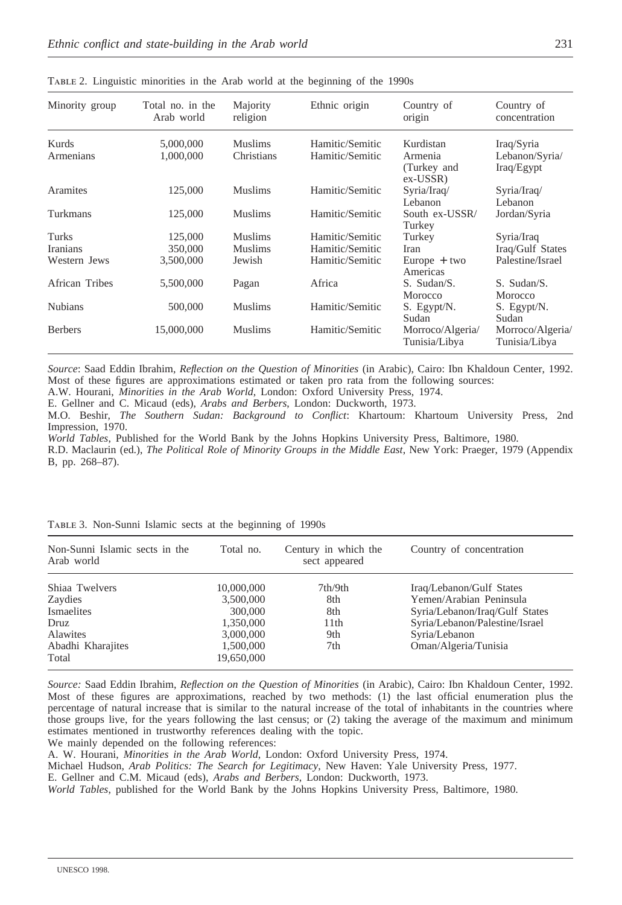| Minority group  | Total no. in the<br>Arab world | Majority<br>religion | Ethnic origin   | Country of<br>origin                     | Country of<br>concentration       |
|-----------------|--------------------------------|----------------------|-----------------|------------------------------------------|-----------------------------------|
| Kurds           | 5,000,000                      | <b>Muslims</b>       | Hamitic/Semitic | Kurdistan                                | Iraq/Syria                        |
| Armenians       | 1,000,000                      | Christians           | Hamitic/Semitic | Armenia<br>(Turkey and<br>$ex$ -USSR $)$ | Lebanon/Syria/<br>Iraq/Egypt      |
| Aramites        | 125,000                        | <b>Muslims</b>       | Hamitic/Semitic | Syria/Iraq/<br>Lebanon                   | Syria/Iraq/<br>Lebanon            |
| Turkmans        | 125,000                        | <b>Muslims</b>       | Hamitic/Semitic | South ex-USSR/<br>Turkey                 | Jordan/Syria                      |
| Turks           | 125,000                        | <b>Muslims</b>       | Hamitic/Semitic | Turkey                                   | Syria/Iraq                        |
| <b>Iranians</b> | 350,000                        | <b>Muslims</b>       | Hamitic/Semitic | Iran                                     | Iraq/Gulf States                  |
| Western Jews    | 3,500,000                      | Jewish               | Hamitic/Semitic | $Europe + two$<br>Americas               | Palestine/Israel                  |
| African Tribes  | 5,500,000                      | Pagan                | Africa          | S. Sudan/S.<br>Morocco                   | S. Sudan/S.<br>Morocco            |
| <b>Nubians</b>  | 500,000                        | <b>Muslims</b>       | Hamitic/Semitic | S. Egypt/N.<br>Sudan                     | S. Egypt/N.<br>Sudan              |
| <b>Berbers</b>  | 15,000,000                     | <b>Muslims</b>       | Hamitic/Semitic | Morroco/Algeria/<br>Tunisia/Libya        | Morroco/Algeria/<br>Tunisia/Libya |

Table 2. Linguistic minorities in the Arab world at the beginning of the 1990s

*Source*: Saad Eddin Ibrahim, *Reflection on the Question of Minorities* (in Arabic), Cairo: Ibn Khaldoun Center, 1992. Most of these figures are approximations estimated or taken pro rata from the following sources:

A.W. Hourani, *Minorities in the Arab World*, London: Oxford University Press, 1974.

E. Gellner and C. Micaud (eds), *Arabs and Berbers*, London: Duckworth, 1973.

M.O. Beshir, *The Southern Sudan: Background to Conflict*: Khartoum: Khartoum University Press, 2nd Impression, 1970.

*World Tables*, Published for the World Bank by the Johns Hopkins University Press, Baltimore, 1980. R.D. Maclaurin (ed.), *The Political Role of Minority Groups in the Middle East*, New York: Praeger, 1979 (Appendix B, pp. 268–87).

| Non-Sunni Islamic sects in the<br>Arab world | Total no.  | Century in which the<br>sect appeared | Country of concentration       |
|----------------------------------------------|------------|---------------------------------------|--------------------------------|
| Shiaa Twelvers                               | 10,000,000 | 7th/9th                               | Iraq/Lebanon/Gulf States       |
| Zaydies                                      | 3.500,000  | 8th                                   | Yemen/Arabian Peninsula        |
| <b>Ismaelites</b>                            | 300,000    | 8th                                   | Syria/Lebanon/Iraq/Gulf States |
| Druz.                                        | 1,350,000  | 11 <sub>th</sub>                      | Syria/Lebanon/Palestine/Israel |
| Alawites                                     | 3,000,000  | 9th                                   | Syria/Lebanon                  |
| Abadhi Kharajites                            | 1,500,000  | 7th                                   | Oman/Algeria/Tunisia           |
| Total                                        | 19,650,000 |                                       |                                |

Table 3. Non-Sunni Islamic sects at the beginning of 1990s

*Source:* Saad Eddin Ibrahim, *Reflection on the Question of Minorities* (in Arabic), Cairo: Ibn Khaldoun Center, 1992. Most of these figures are approximations, reached by two methods: (1) the last official enumeration plus the percentage of natural increase that is similar to the natural increase of the total of inhabitants in the countries where those groups live, for the years following the last census; or (2) taking the average of the maximum and minimum estimates mentioned in trustworthy references dealing with the topic.

We mainly depended on the following references:

A. W. Hourani, *Minorities in the Arab World*, London: Oxford University Press, 1974.

Michael Hudson, *Arab Politics: The Search for Legitimacy*, New Haven: Yale University Press, 1977.

E. Gellner and C.M. Micaud (eds), *Arabs and Berbers*, London: Duckworth, 1973.

*World Tables*, published for the World Bank by the Johns Hopkins University Press, Baltimore, 1980.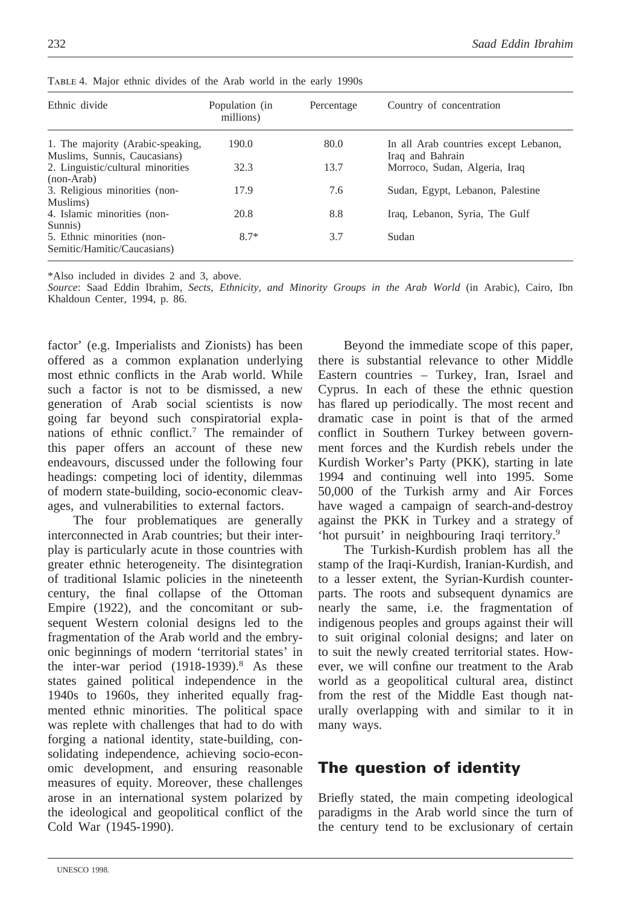| Ethnic divide                     | Population (in<br>millions) | Percentage | Country of concentration              |
|-----------------------------------|-----------------------------|------------|---------------------------------------|
| 1. The majority (Arabic-speaking, | 190.0                       | 80.0       | In all Arab countries except Lebanon, |
| Muslims, Sunnis, Caucasians)      |                             |            | Iraq and Bahrain                      |
| 2. Linguistic/cultural minorities | 32.3                        | 13.7       | Morroco, Sudan, Algeria, Iraq         |
| (non-Arab)                        |                             |            |                                       |
| 3. Religious minorities (non-     | 17.9                        | 7.6        | Sudan, Egypt, Lebanon, Palestine      |
| Muslims)                          |                             |            |                                       |
| 4. Islamic minorities (non-       | 20.8                        | 8.8        | Iraq, Lebanon, Syria, The Gulf        |
| Sunnis)                           |                             |            |                                       |
| 5. Ethnic minorities (non-        | $8.7*$                      | 3.7        | Sudan                                 |
| Semitic/Hamitic/Caucasians)       |                             |            |                                       |

Table 4. Major ethnic divides of the Arab world in the early 1990s

\*Also included in divides 2 and 3, above.

*Source*: Saad Eddin Ibrahim, *Sects, Ethnicity, and Minority Groups in the Arab World* (in Arabic), Cairo, Ibn Khaldoun Center, 1994, p. 86.

factor' (e.g. Imperialists and Zionists) has been offered as a common explanation underlying most ethnic conflicts in the Arab world. While such a factor is not to be dismissed, a new generation of Arab social scientists is now going far beyond such conspiratorial explanations of ethnic conflict.<sup>7</sup> The remainder of this paper offers an account of these new endeavours, discussed under the following four headings: competing loci of identity, dilemmas of modern state-building, socio-economic cleavages, and vulnerabilities to external factors.

The four problematiques are generally interconnected in Arab countries; but their interplay is particularly acute in those countries with greater ethnic heterogeneity. The disintegration of traditional Islamic policies in the nineteenth century, the final collapse of the Ottoman Empire (1922), and the concomitant or subsequent Western colonial designs led to the fragmentation of the Arab world and the embryonic beginnings of modern 'territorial states' in the inter-war period  $(1918-1939)$ .<sup>8</sup> As these states gained political independence in the 1940s to 1960s, they inherited equally fragmented ethnic minorities. The political space was replete with challenges that had to do with forging a national identity, state-building, consolidating independence, achieving socio-economic development, and ensuring reasonable measures of equity. Moreover, these challenges arose in an international system polarized by the ideological and geopolitical conflict of the Cold War (1945-1990).

Beyond the immediate scope of this paper, there is substantial relevance to other Middle Eastern countries – Turkey, Iran, Israel and Cyprus. In each of these the ethnic question has flared up periodically. The most recent and dramatic case in point is that of the armed conflict in Southern Turkey between government forces and the Kurdish rebels under the Kurdish Worker's Party (PKK), starting in late 1994 and continuing well into 1995. Some 50,000 of the Turkish army and Air Forces have waged a campaign of search-and-destroy against the PKK in Turkey and a strategy of 'hot pursuit' in neighbouring Iraqi territory.9

The Turkish-Kurdish problem has all the stamp of the Iraqi-Kurdish, Iranian-Kurdish, and to a lesser extent, the Syrian-Kurdish counterparts. The roots and subsequent dynamics are nearly the same, i.e. the fragmentation of indigenous peoples and groups against their will to suit original colonial designs; and later on to suit the newly created territorial states. However, we will confine our treatment to the Arab world as a geopolitical cultural area, distinct from the rest of the Middle East though naturally overlapping with and similar to it in many ways.

# **The question of identity**

Briefly stated, the main competing ideological paradigms in the Arab world since the turn of the century tend to be exclusionary of certain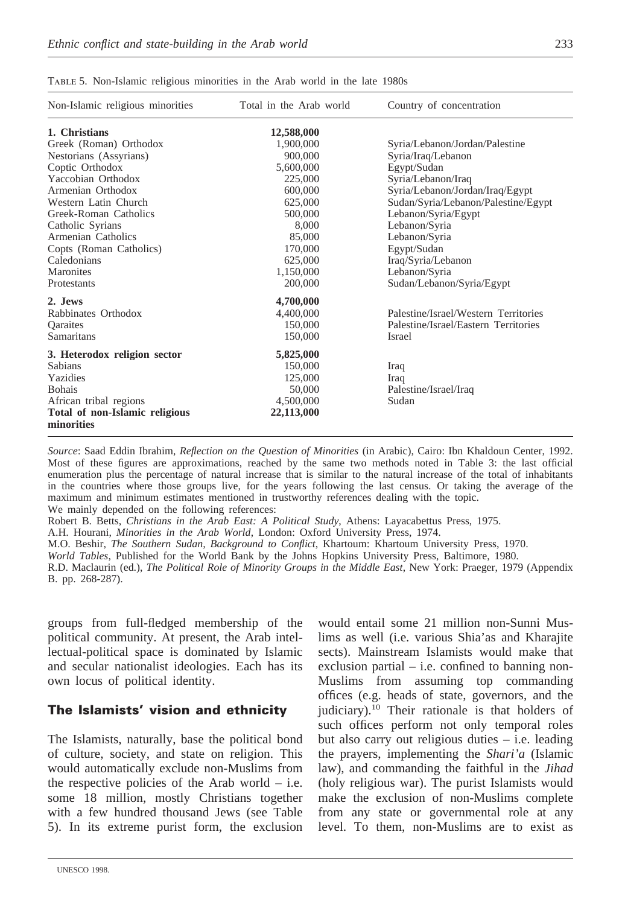| Non-Islamic religious minorities | Total in the Arab world | Country of concentration             |
|----------------------------------|-------------------------|--------------------------------------|
| 1. Christians                    | 12,588,000              |                                      |
| Greek (Roman) Orthodox           | 1,900,000               | Syria/Lebanon/Jordan/Palestine       |
| Nestorians (Assyrians)           | 900,000                 | Syria/Iraq/Lebanon                   |
| Coptic Orthodox                  | 5,600,000               | Egypt/Sudan                          |
| Yaccobian Orthodox               | 225,000                 | Syria/Lebanon/Iraq                   |
| Armenian Orthodox                | 600,000                 | Syria/Lebanon/Jordan/Iraq/Egypt      |
| Western Latin Church             | 625,000                 | Sudan/Syria/Lebanon/Palestine/Egypt  |
| Greek-Roman Catholics            | 500,000                 | Lebanon/Syria/Egypt                  |
| Catholic Syrians                 | 8,000                   | Lebanon/Syria                        |
| Armenian Catholics               | 85,000                  | Lebanon/Syria                        |
| Copts (Roman Catholics)          | 170,000                 | Egypt/Sudan                          |
| Caledonians                      | 625,000                 | Iraq/Syria/Lebanon                   |
| <b>Maronites</b>                 | 1,150,000               | Lebanon/Syria                        |
| Protestants                      | 200,000                 | Sudan/Lebanon/Syria/Egypt            |
| 2. Jews                          | 4,700,000               |                                      |
| Rabbinates Orthodox              | 4,400,000               | Palestine/Israel/Western Territories |
| Oaraites                         | 150,000                 | Palestine/Israel/Eastern Territories |
| <b>Samaritans</b>                | 150,000                 | <b>Israel</b>                        |
| 3. Heterodox religion sector     | 5,825,000               |                                      |
| <b>Sabians</b>                   | 150,000                 | Iraq                                 |
| Yazidies                         | 125,000                 | Iraq                                 |
| <b>Bohais</b>                    | 50,000                  | Palestine/Israel/Iraq                |
| African tribal regions           | 4,500,000               | Sudan                                |
| Total of non-Islamic religious   | 22,113,000              |                                      |
| minorities                       |                         |                                      |

Table 5. Non-Islamic religious minorities in the Arab world in the late 1980s

*Source*: Saad Eddin Ibrahim, *Reflection on the Question of Minorities* (in Arabic), Cairo: Ibn Khaldoun Center, 1992. Most of these figures are approximations, reached by the same two methods noted in Table 3: the last official enumeration plus the percentage of natural increase that is similar to the natural increase of the total of inhabitants in the countries where those groups live, for the years following the last census. Or taking the average of the maximum and minimum estimates mentioned in trustworthy references dealing with the topic. We mainly depended on the following references:

Robert B. Betts, *Christians in the Arab East: A Political Study*, Athens: Layacabettus Press, 1975.

A.H. Hourani, *Minorities in the Arab World*, London: Oxford University Press, 1974.

M.O. Beshir, *The Southern Sudan, Background to Conflict*, Khartoum: Khartoum University Press, 1970.

*World Tables*, Published for the World Bank by the Johns Hopkins University Press, Baltimore, 1980.

R.D. Maclaurin (ed.), *The Political Role of Minority Groups in the Middle East*, New York: Praeger, 1979 (Appendix B. pp. 268-287).

groups from full-fledged membership of the political community. At present, the Arab intellectual-political space is dominated by Islamic and secular nationalist ideologies. Each has its own locus of political identity.

#### **The Islamists' vision and ethnicity**

The Islamists, naturally, base the political bond of culture, society, and state on religion. This would automatically exclude non-Muslims from the respective policies of the Arab world  $-$  i.e. some 18 million, mostly Christians together with a few hundred thousand Jews (see Table 5). In its extreme purist form, the exclusion

would entail some 21 million non-Sunni Muslims as well (i.e. various Shia'as and Kharajite sects). Mainstream Islamists would make that exclusion partial – i.e. confined to banning non-Muslims from assuming top commanding offices (e.g. heads of state, governors, and the judiciary).<sup>10</sup> Their rationale is that holders of such offices perform not only temporal roles but also carry out religious duties – i.e. leading the prayers, implementing the *Shari'a* (Islamic law), and commanding the faithful in the *Jihad* (holy religious war). The purist Islamists would make the exclusion of non-Muslims complete from any state or governmental role at any level. To them, non-Muslims are to exist as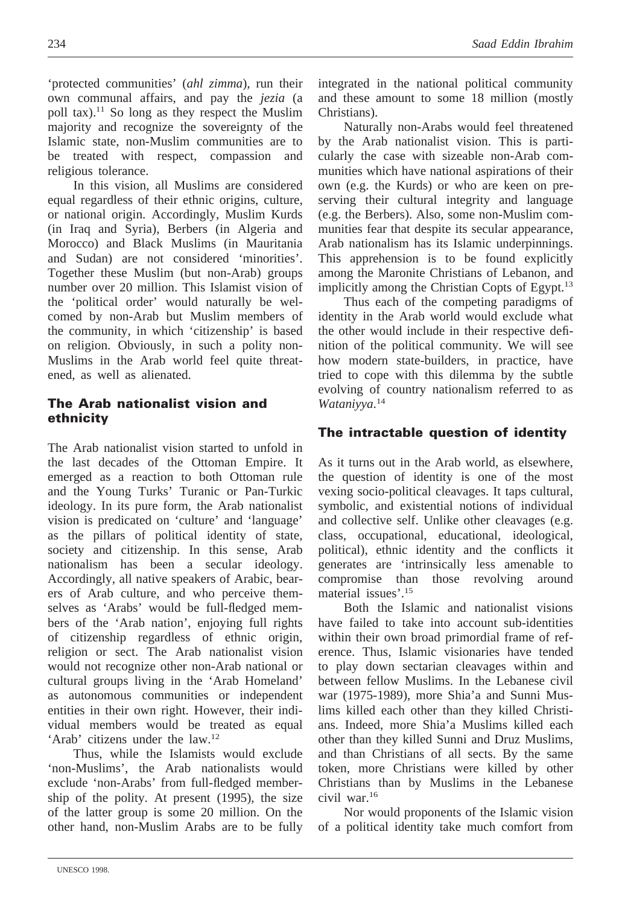'protected communities' (*ahl zimma*), run their own communal affairs, and pay the *jezia* (a poll tax).<sup>11</sup> So long as they respect the Muslim majority and recognize the sovereignty of the Islamic state, non-Muslim communities are to be treated with respect, compassion and religious tolerance.

In this vision, all Muslims are considered equal regardless of their ethnic origins, culture, or national origin. Accordingly, Muslim Kurds (in Iraq and Syria), Berbers (in Algeria and Morocco) and Black Muslims (in Mauritania and Sudan) are not considered 'minorities'. Together these Muslim (but non-Arab) groups number over 20 million. This Islamist vision of the 'political order' would naturally be welcomed by non-Arab but Muslim members of the community, in which 'citizenship' is based on religion. Obviously, in such a polity non-Muslims in the Arab world feel quite threatened, as well as alienated.

#### **The Arab nationalist vision and ethnicity**

The Arab nationalist vision started to unfold in the last decades of the Ottoman Empire. It emerged as a reaction to both Ottoman rule and the Young Turks' Turanic or Pan-Turkic ideology. In its pure form, the Arab nationalist vision is predicated on 'culture' and 'language' as the pillars of political identity of state, society and citizenship. In this sense, Arab nationalism has been a secular ideology. Accordingly, all native speakers of Arabic, bearers of Arab culture, and who perceive themselves as 'Arabs' would be full-fledged members of the 'Arab nation', enjoying full rights of citizenship regardless of ethnic origin, religion or sect. The Arab nationalist vision would not recognize other non-Arab national or cultural groups living in the 'Arab Homeland' as autonomous communities or independent entities in their own right. However, their individual members would be treated as equal 'Arab' citizens under the law.12

Thus, while the Islamists would exclude 'non-Muslims', the Arab nationalists would exclude 'non-Arabs' from full-fledged membership of the polity. At present (1995), the size of the latter group is some 20 million. On the other hand, non-Muslim Arabs are to be fully integrated in the national political community and these amount to some 18 million (mostly Christians).

Naturally non-Arabs would feel threatened by the Arab nationalist vision. This is particularly the case with sizeable non-Arab communities which have national aspirations of their own (e.g. the Kurds) or who are keen on preserving their cultural integrity and language (e.g. the Berbers). Also, some non-Muslim communities fear that despite its secular appearance, Arab nationalism has its Islamic underpinnings. This apprehension is to be found explicitly among the Maronite Christians of Lebanon, and implicitly among the Christian Copts of Egypt. $13$ 

Thus each of the competing paradigms of identity in the Arab world would exclude what the other would include in their respective definition of the political community. We will see how modern state-builders, in practice, have tried to cope with this dilemma by the subtle evolving of country nationalism referred to as *Wataniyya*. 14

# **The intractable question of identity**

As it turns out in the Arab world, as elsewhere, the question of identity is one of the most vexing socio-political cleavages. It taps cultural, symbolic, and existential notions of individual and collective self. Unlike other cleavages (e.g. class, occupational, educational, ideological, political), ethnic identity and the conflicts it generates are 'intrinsically less amenable to compromise than those revolving around material issues'.15

Both the Islamic and nationalist visions have failed to take into account sub-identities within their own broad primordial frame of reference. Thus, Islamic visionaries have tended to play down sectarian cleavages within and between fellow Muslims. In the Lebanese civil war (1975-1989), more Shia'a and Sunni Muslims killed each other than they killed Christians. Indeed, more Shia'a Muslims killed each other than they killed Sunni and Druz Muslims, and than Christians of all sects. By the same token, more Christians were killed by other Christians than by Muslims in the Lebanese civil war.<sup>16</sup>

Nor would proponents of the Islamic vision of a political identity take much comfort from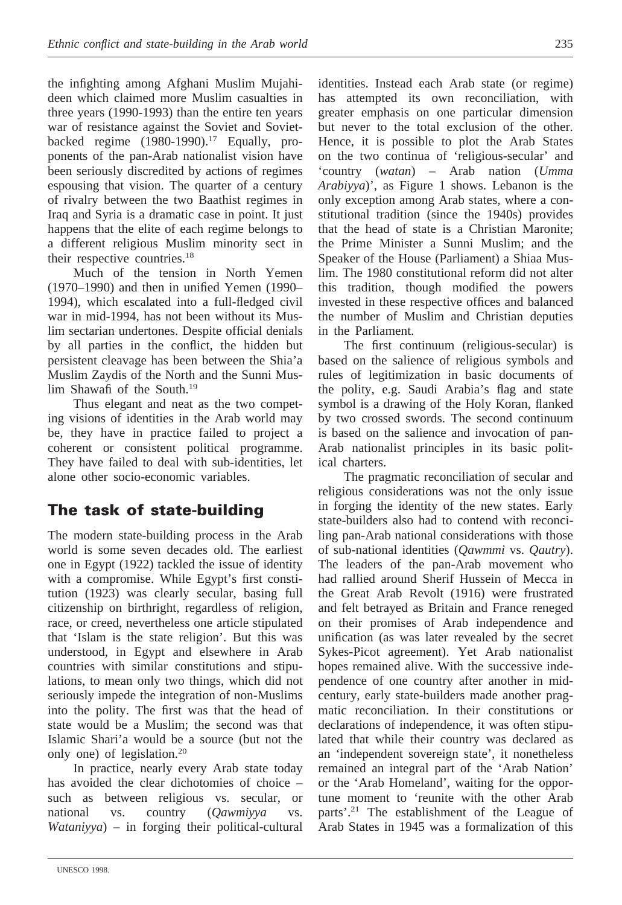the infighting among Afghani Muslim Mujahideen which claimed more Muslim casualties in three years (1990-1993) than the entire ten years war of resistance against the Soviet and Sovietbacked regime  $(1980-1990).$ <sup>17</sup> Equally, proponents of the pan-Arab nationalist vision have been seriously discredited by actions of regimes espousing that vision. The quarter of a century of rivalry between the two Baathist regimes in Iraq and Syria is a dramatic case in point. It just happens that the elite of each regime belongs to a different religious Muslim minority sect in their respective countries.<sup>18</sup>

Much of the tension in North Yemen (1970–1990) and then in unified Yemen (1990– 1994), which escalated into a full-fledged civil war in mid-1994, has not been without its Muslim sectarian undertones. Despite official denials by all parties in the conflict, the hidden but persistent cleavage has been between the Shia'a Muslim Zaydis of the North and the Sunni Muslim Shawafi of the South.<sup>19</sup>

Thus elegant and neat as the two competing visions of identities in the Arab world may be, they have in practice failed to project a coherent or consistent political programme. They have failed to deal with sub-identities, let alone other socio-economic variables.

# **The task of state-building**

The modern state-building process in the Arab world is some seven decades old. The earliest one in Egypt (1922) tackled the issue of identity with a compromise. While Egypt's first constitution (1923) was clearly secular, basing full citizenship on birthright, regardless of religion, race, or creed, nevertheless one article stipulated that 'Islam is the state religion'. But this was understood, in Egypt and elsewhere in Arab countries with similar constitutions and stipulations, to mean only two things, which did not seriously impede the integration of non-Muslims into the polity. The first was that the head of state would be a Muslim; the second was that Islamic Shari'a would be a source (but not the only one) of legislation.<sup>20</sup>

In practice, nearly every Arab state today has avoided the clear dichotomies of choice – such as between religious vs. secular, or national vs. country (*Qawmiyya* vs. *Wataniyya*) – in forging their political-cultural identities. Instead each Arab state (or regime) has attempted its own reconciliation, with greater emphasis on one particular dimension but never to the total exclusion of the other. Hence, it is possible to plot the Arab States on the two continua of 'religious-secular' and 'country (*watan*) – Arab nation (*Umma Arabiyya*)', as Figure 1 shows. Lebanon is the only exception among Arab states, where a constitutional tradition (since the 1940s) provides that the head of state is a Christian Maronite; the Prime Minister a Sunni Muslim; and the Speaker of the House (Parliament) a Shiaa Muslim. The 1980 constitutional reform did not alter this tradition, though modified the powers invested in these respective offices and balanced the number of Muslim and Christian deputies in the Parliament.

The first continuum (religious-secular) is based on the salience of religious symbols and rules of legitimization in basic documents of the polity, e.g. Saudi Arabia's flag and state symbol is a drawing of the Holy Koran, flanked by two crossed swords. The second continuum is based on the salience and invocation of pan-Arab nationalist principles in its basic political charters.

The pragmatic reconciliation of secular and religious considerations was not the only issue in forging the identity of the new states. Early state-builders also had to contend with reconciling pan-Arab national considerations with those of sub-national identities (*Qawmmi* vs. *Qautry*). The leaders of the pan-Arab movement who had rallied around Sherif Hussein of Mecca in the Great Arab Revolt (1916) were frustrated and felt betrayed as Britain and France reneged on their promises of Arab independence and unification (as was later revealed by the secret Sykes-Picot agreement). Yet Arab nationalist hopes remained alive. With the successive independence of one country after another in midcentury, early state-builders made another pragmatic reconciliation. In their constitutions or declarations of independence, it was often stipulated that while their country was declared as an 'independent sovereign state', it nonetheless remained an integral part of the 'Arab Nation' or the 'Arab Homeland', waiting for the opportune moment to 'reunite with the other Arab parts'.<sup>21</sup> The establishment of the League of Arab States in 1945 was a formalization of this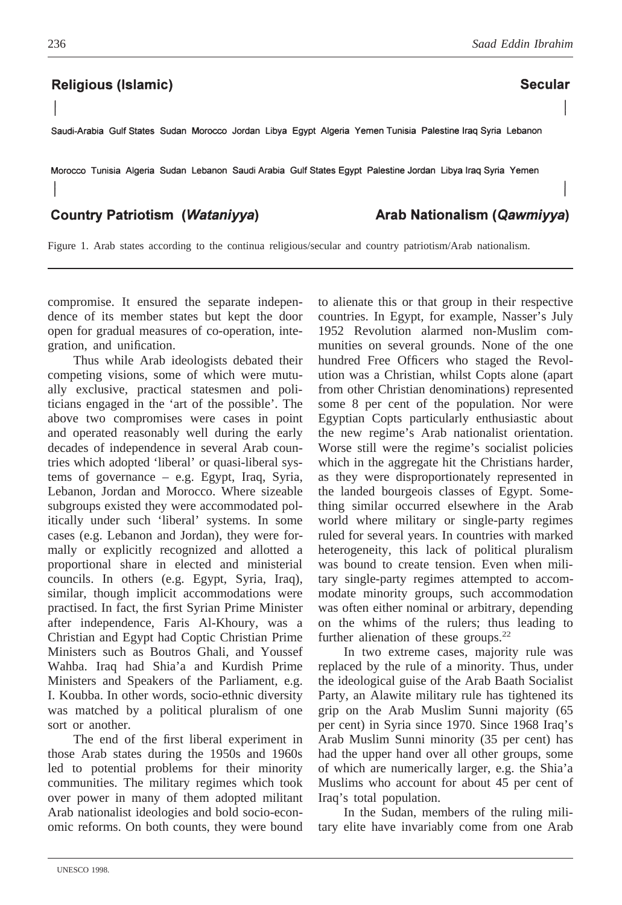# **Religious (Islamic)**

#### Secular

Saudi-Arabia Gulf States Sudan Morocco Jordan Libya Egypt Algeria Yemen Tunisia Palestine Iraq Syria Lebanon

Morocco Tunisia Algeria Sudan Lebanon Saudi Arabia Gulf States Egypt Palestine Jordan Libya Iraq Syria Yemen

**Country Patriotism (Wataniyya)** 

# Arab Nationalism (Qawmiyya)

Figure 1. Arab states according to the continua religious/secular and country patriotism/Arab nationalism.

compromise. It ensured the separate independence of its member states but kept the door open for gradual measures of co-operation, integration, and unification.

Thus while Arab ideologists debated their competing visions, some of which were mutually exclusive, practical statesmen and politicians engaged in the 'art of the possible'. The above two compromises were cases in point and operated reasonably well during the early decades of independence in several Arab countries which adopted 'liberal' or quasi-liberal systems of governance – e.g. Egypt, Iraq, Syria, Lebanon, Jordan and Morocco. Where sizeable subgroups existed they were accommodated politically under such 'liberal' systems. In some cases (e.g. Lebanon and Jordan), they were formally or explicitly recognized and allotted a proportional share in elected and ministerial councils. In others (e.g. Egypt, Syria, Iraq), similar, though implicit accommodations were practised. In fact, the first Syrian Prime Minister after independence, Faris Al-Khoury, was a Christian and Egypt had Coptic Christian Prime Ministers such as Boutros Ghali, and Youssef Wahba. Iraq had Shia'a and Kurdish Prime Ministers and Speakers of the Parliament, e.g. I. Koubba. In other words, socio-ethnic diversity was matched by a political pluralism of one sort or another.

The end of the first liberal experiment in those Arab states during the 1950s and 1960s led to potential problems for their minority communities. The military regimes which took over power in many of them adopted militant Arab nationalist ideologies and bold socio-economic reforms. On both counts, they were bound to alienate this or that group in their respective countries. In Egypt, for example, Nasser's July 1952 Revolution alarmed non-Muslim communities on several grounds. None of the one hundred Free Officers who staged the Revolution was a Christian, whilst Copts alone (apart from other Christian denominations) represented some 8 per cent of the population. Nor were Egyptian Copts particularly enthusiastic about the new regime's Arab nationalist orientation. Worse still were the regime's socialist policies which in the aggregate hit the Christians harder, as they were disproportionately represented in the landed bourgeois classes of Egypt. Something similar occurred elsewhere in the Arab world where military or single-party regimes ruled for several years. In countries with marked heterogeneity, this lack of political pluralism was bound to create tension. Even when military single-party regimes attempted to accommodate minority groups, such accommodation was often either nominal or arbitrary, depending on the whims of the rulers; thus leading to further alienation of these groups.<sup>22</sup>

In two extreme cases, majority rule was replaced by the rule of a minority. Thus, under the ideological guise of the Arab Baath Socialist Party, an Alawite military rule has tightened its grip on the Arab Muslim Sunni majority (65 per cent) in Syria since 1970. Since 1968 Iraq's Arab Muslim Sunni minority (35 per cent) has had the upper hand over all other groups, some of which are numerically larger, e.g. the Shia'a Muslims who account for about 45 per cent of Iraq's total population.

In the Sudan, members of the ruling military elite have invariably come from one Arab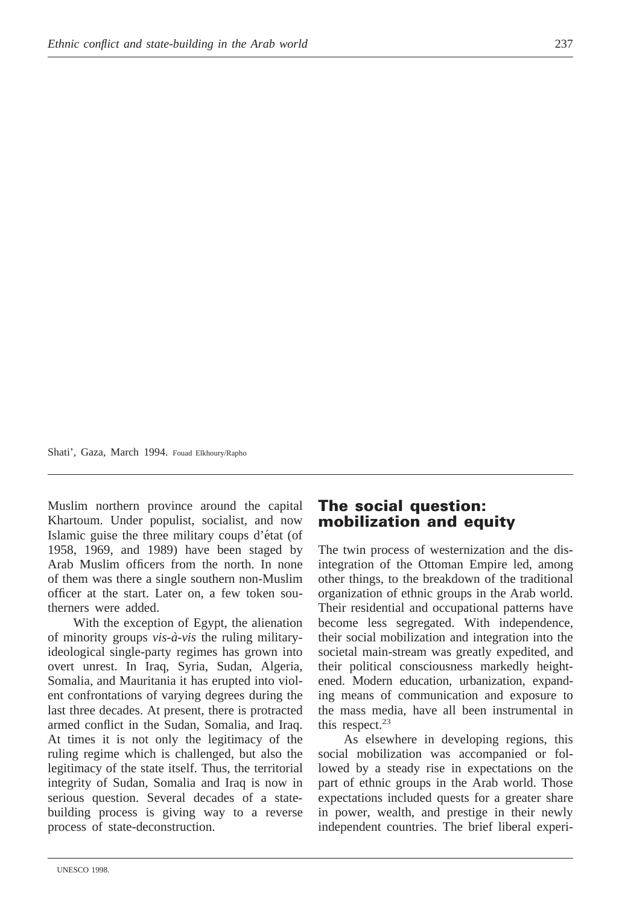Shati', Gaza, March 1994. Fouad Elkhoury/Rapho

Muslim northern province around the capital Khartoum. Under populist, socialist, and now Islamic guise the three military coups d'état (of 1958, 1969, and 1989) have been staged by Arab Muslim officers from the north. In none of them was there a single southern non-Muslim officer at the start. Later on, a few token southerners were added.

With the exception of Egypt, the alienation of minority groups *vis-a`-vis* the ruling militaryideological single-party regimes has grown into overt unrest. In Iraq, Syria, Sudan, Algeria, Somalia, and Mauritania it has erupted into violent confrontations of varying degrees during the last three decades. At present, there is protracted armed conflict in the Sudan, Somalia, and Iraq. At times it is not only the legitimacy of the ruling regime which is challenged, but also the legitimacy of the state itself. Thus, the territorial integrity of Sudan, Somalia and Iraq is now in serious question. Several decades of a statebuilding process is giving way to a reverse process of state-deconstruction.

# **The social question: mobilization and equity**

The twin process of westernization and the disintegration of the Ottoman Empire led, among other things, to the breakdown of the traditional organization of ethnic groups in the Arab world. Their residential and occupational patterns have become less segregated. With independence, their social mobilization and integration into the societal main-stream was greatly expedited, and their political consciousness markedly heightened. Modern education, urbanization, expanding means of communication and exposure to the mass media, have all been instrumental in this respect. $23$ 

As elsewhere in developing regions, this social mobilization was accompanied or followed by a steady rise in expectations on the part of ethnic groups in the Arab world. Those expectations included quests for a greater share in power, wealth, and prestige in their newly independent countries. The brief liberal experi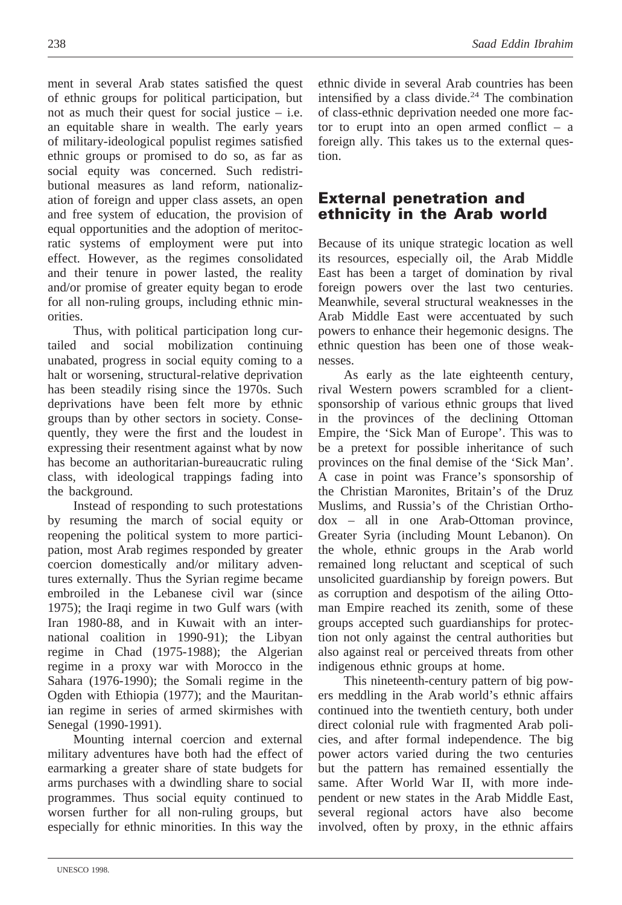ment in several Arab states satisfied the quest of ethnic groups for political participation, but not as much their quest for social justice  $-$  i.e. an equitable share in wealth. The early years of military-ideological populist regimes satisfied ethnic groups or promised to do so, as far as social equity was concerned. Such redistributional measures as land reform, nationalization of foreign and upper class assets, an open and free system of education, the provision of equal opportunities and the adoption of meritocratic systems of employment were put into effect. However, as the regimes consolidated and their tenure in power lasted, the reality and/or promise of greater equity began to erode for all non-ruling groups, including ethnic minorities.

Thus, with political participation long curtailed and social mobilization continuing unabated, progress in social equity coming to a halt or worsening, structural-relative deprivation has been steadily rising since the 1970s. Such deprivations have been felt more by ethnic groups than by other sectors in society. Consequently, they were the first and the loudest in expressing their resentment against what by now has become an authoritarian-bureaucratic ruling class, with ideological trappings fading into the background.

Instead of responding to such protestations by resuming the march of social equity or reopening the political system to more participation, most Arab regimes responded by greater coercion domestically and/or military adventures externally. Thus the Syrian regime became embroiled in the Lebanese civil war (since 1975); the Iraqi regime in two Gulf wars (with Iran 1980-88, and in Kuwait with an international coalition in 1990-91); the Libyan regime in Chad (1975-1988); the Algerian regime in a proxy war with Morocco in the Sahara (1976-1990); the Somali regime in the Ogden with Ethiopia (1977); and the Mauritanian regime in series of armed skirmishes with Senegal (1990-1991).

Mounting internal coercion and external military adventures have both had the effect of earmarking a greater share of state budgets for arms purchases with a dwindling share to social programmes. Thus social equity continued to worsen further for all non-ruling groups, but especially for ethnic minorities. In this way the

ethnic divide in several Arab countries has been intensified by a class divide. $24$  The combination of class-ethnic deprivation needed one more factor to erupt into an open armed conflict – a foreign ally. This takes us to the external question.

# **External penetration and ethnicity in the Arab world**

Because of its unique strategic location as well its resources, especially oil, the Arab Middle East has been a target of domination by rival foreign powers over the last two centuries. Meanwhile, several structural weaknesses in the Arab Middle East were accentuated by such powers to enhance their hegemonic designs. The ethnic question has been one of those weaknesses.

As early as the late eighteenth century, rival Western powers scrambled for a clientsponsorship of various ethnic groups that lived in the provinces of the declining Ottoman Empire, the 'Sick Man of Europe'. This was to be a pretext for possible inheritance of such provinces on the final demise of the 'Sick Man'. A case in point was France's sponsorship of the Christian Maronites, Britain's of the Druz Muslims, and Russia's of the Christian Orthodox – all in one Arab-Ottoman province, Greater Syria (including Mount Lebanon). On the whole, ethnic groups in the Arab world remained long reluctant and sceptical of such unsolicited guardianship by foreign powers. But as corruption and despotism of the ailing Ottoman Empire reached its zenith, some of these groups accepted such guardianships for protection not only against the central authorities but also against real or perceived threats from other indigenous ethnic groups at home.

This nineteenth-century pattern of big powers meddling in the Arab world's ethnic affairs continued into the twentieth century, both under direct colonial rule with fragmented Arab policies, and after formal independence. The big power actors varied during the two centuries but the pattern has remained essentially the same. After World War II, with more independent or new states in the Arab Middle East, several regional actors have also become involved, often by proxy, in the ethnic affairs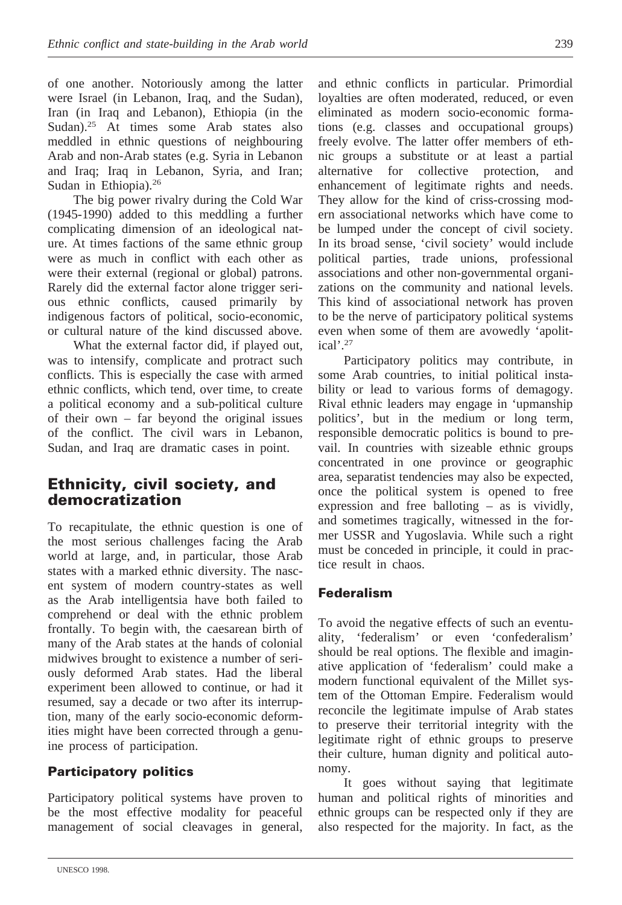of one another. Notoriously among the latter were Israel (in Lebanon, Iraq, and the Sudan), Iran (in Iraq and Lebanon), Ethiopia (in the Sudan).<sup>25</sup> At times some Arab states also meddled in ethnic questions of neighbouring Arab and non-Arab states (e.g. Syria in Lebanon and Iraq; Iraq in Lebanon, Syria, and Iran; Sudan in Ethiopia).<sup>26</sup>

The big power rivalry during the Cold War (1945-1990) added to this meddling a further complicating dimension of an ideological nature. At times factions of the same ethnic group were as much in conflict with each other as were their external (regional or global) patrons. Rarely did the external factor alone trigger serious ethnic conflicts, caused primarily by indigenous factors of political, socio-economic, or cultural nature of the kind discussed above.

What the external factor did, if played out, was to intensify, complicate and protract such conflicts. This is especially the case with armed ethnic conflicts, which tend, over time, to create a political economy and a sub-political culture of their own – far beyond the original issues of the conflict. The civil wars in Lebanon, Sudan, and Iraq are dramatic cases in point.

# **Ethnicity, civil society, and democratization**

To recapitulate, the ethnic question is one of the most serious challenges facing the Arab world at large, and, in particular, those Arab states with a marked ethnic diversity. The nascent system of modern country-states as well as the Arab intelligentsia have both failed to comprehend or deal with the ethnic problem frontally. To begin with, the caesarean birth of many of the Arab states at the hands of colonial midwives brought to existence a number of seriously deformed Arab states. Had the liberal experiment been allowed to continue, or had it resumed, say a decade or two after its interruption, many of the early socio-economic deformities might have been corrected through a genuine process of participation.

# **Participatory politics**

Participatory political systems have proven to be the most effective modality for peaceful management of social cleavages in general, and ethnic conflicts in particular. Primordial loyalties are often moderated, reduced, or even eliminated as modern socio-economic formations (e.g. classes and occupational groups) freely evolve. The latter offer members of ethnic groups a substitute or at least a partial alternative for collective protection, and enhancement of legitimate rights and needs. They allow for the kind of criss-crossing modern associational networks which have come to be lumped under the concept of civil society. In its broad sense, 'civil society' would include political parties, trade unions, professional associations and other non-governmental organizations on the community and national levels. This kind of associational network has proven to be the nerve of participatory political systems even when some of them are avowedly 'apolitical'.27

Participatory politics may contribute, in some Arab countries, to initial political instability or lead to various forms of demagogy. Rival ethnic leaders may engage in 'upmanship politics', but in the medium or long term, responsible democratic politics is bound to prevail. In countries with sizeable ethnic groups concentrated in one province or geographic area, separatist tendencies may also be expected, once the political system is opened to free expression and free balloting – as is vividly, and sometimes tragically, witnessed in the former USSR and Yugoslavia. While such a right must be conceded in principle, it could in practice result in chaos.

# **Federalism**

To avoid the negative effects of such an eventuality, 'federalism' or even 'confederalism' should be real options. The flexible and imaginative application of 'federalism' could make a modern functional equivalent of the Millet system of the Ottoman Empire. Federalism would reconcile the legitimate impulse of Arab states to preserve their territorial integrity with the legitimate right of ethnic groups to preserve their culture, human dignity and political autonomy.

It goes without saying that legitimate human and political rights of minorities and ethnic groups can be respected only if they are also respected for the majority. In fact, as the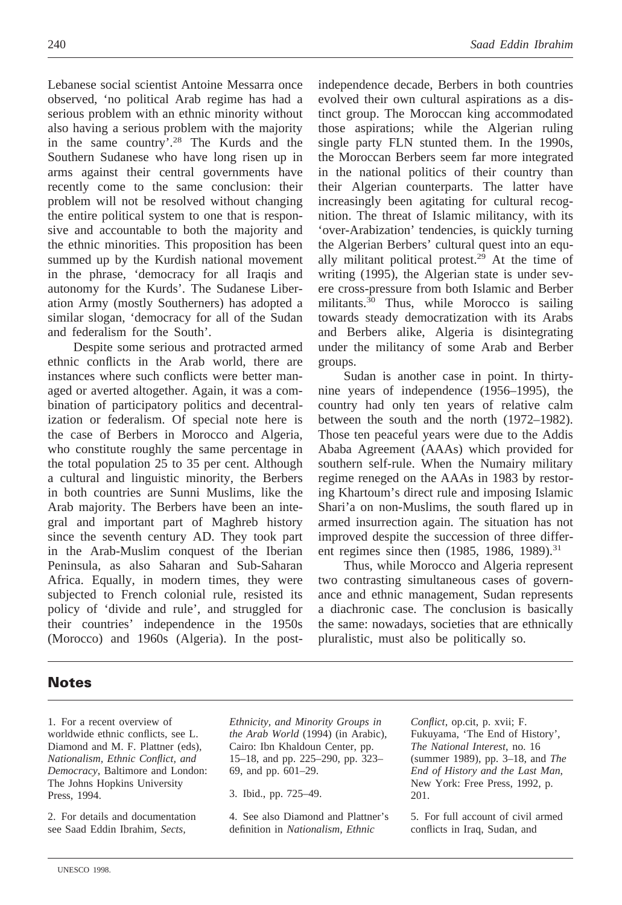Lebanese social scientist Antoine Messarra once observed, 'no political Arab regime has had a serious problem with an ethnic minority without also having a serious problem with the majority in the same country'.<sup>28</sup> The Kurds and the Southern Sudanese who have long risen up in arms against their central governments have recently come to the same conclusion: their problem will not be resolved without changing the entire political system to one that is responsive and accountable to both the majority and the ethnic minorities. This proposition has been summed up by the Kurdish national movement in the phrase, 'democracy for all Iraqis and autonomy for the Kurds'. The Sudanese Liberation Army (mostly Southerners) has adopted a similar slogan, 'democracy for all of the Sudan and federalism for the South'.

Despite some serious and protracted armed ethnic conflicts in the Arab world, there are instances where such conflicts were better managed or averted altogether. Again, it was a combination of participatory politics and decentralization or federalism. Of special note here is the case of Berbers in Morocco and Algeria, who constitute roughly the same percentage in the total population 25 to 35 per cent. Although a cultural and linguistic minority, the Berbers in both countries are Sunni Muslims, like the Arab majority. The Berbers have been an integral and important part of Maghreb history since the seventh century AD. They took part in the Arab-Muslim conquest of the Iberian Peninsula, as also Saharan and Sub-Saharan Africa. Equally, in modern times, they were subjected to French colonial rule, resisted its policy of 'divide and rule', and struggled for their countries' independence in the 1950s (Morocco) and 1960s (Algeria). In the post-

independence decade, Berbers in both countries evolved their own cultural aspirations as a distinct group. The Moroccan king accommodated those aspirations; while the Algerian ruling single party FLN stunted them. In the 1990s, the Moroccan Berbers seem far more integrated in the national politics of their country than their Algerian counterparts. The latter have increasingly been agitating for cultural recognition. The threat of Islamic militancy, with its 'over-Arabization' tendencies, is quickly turning the Algerian Berbers' cultural quest into an equally militant political protest.<sup>29</sup> At the time of writing (1995), the Algerian state is under severe cross-pressure from both Islamic and Berber militants.<sup>30</sup> Thus, while Morocco is sailing towards steady democratization with its Arabs and Berbers alike, Algeria is disintegrating under the militancy of some Arab and Berber groups.

Sudan is another case in point. In thirtynine years of independence (1956–1995), the country had only ten years of relative calm between the south and the north (1972–1982). Those ten peaceful years were due to the Addis Ababa Agreement (AAAs) which provided for southern self-rule. When the Numairy military regime reneged on the AAAs in 1983 by restoring Khartoum's direct rule and imposing Islamic Shari'a on non-Muslims, the south flared up in armed insurrection again. The situation has not improved despite the succession of three different regimes since then  $(1985, 1986, 1989)^{31}$ 

Thus, while Morocco and Algeria represent two contrasting simultaneous cases of governance and ethnic management, Sudan represents a diachronic case. The conclusion is basically the same: nowadays, societies that are ethnically pluralistic, must also be politically so.

#### **Notes**

1. For a recent overview of worldwide ethnic conflicts, see L. Diamond and M. F. Plattner (eds), *Nationalism, Ethnic Conflict, and Democracy*, Baltimore and London: The Johns Hopkins University Press, 1994.

2. For details and documentation see Saad Eddin Ibrahim, *Sects,*

*Ethnicity, and Minority Groups in the Arab World* (1994) (in Arabic), Cairo: Ibn Khaldoun Center, pp. 15–18, and pp. 225–290, pp. 323– 69, and pp. 601–29.

3. Ibid., pp. 725–49.

4. See also Diamond and Plattner's definition in *Nationalism, Ethnic*

*Conflict*, op.cit, p. xvii; F. Fukuyama, 'The End of History', *The National Interest*, no. 16 (summer 1989), pp. 3–18, and *The End of History and the Last Man*, New York: Free Press, 1992, p. 201.

5. For full account of civil armed conflicts in Iraq, Sudan, and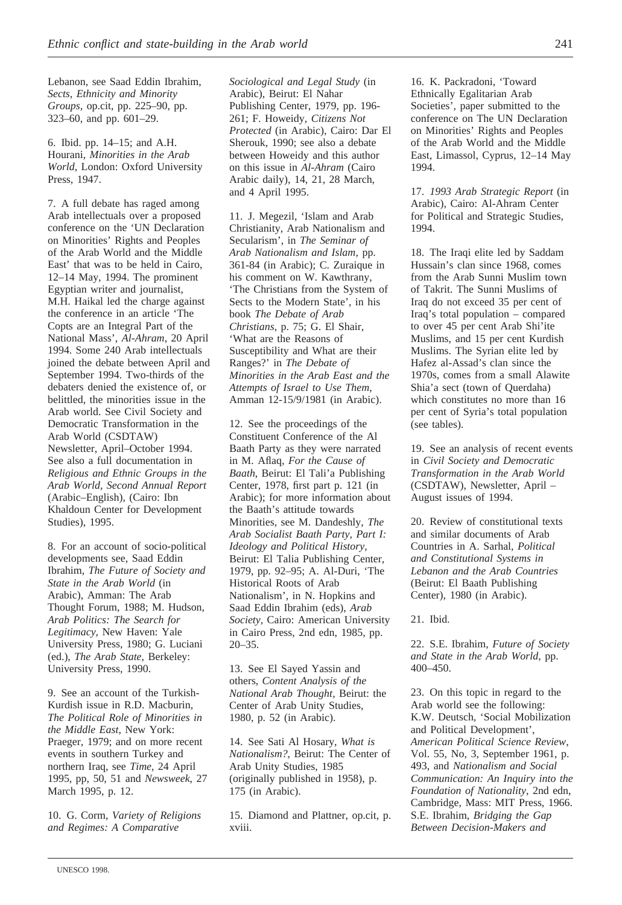Lebanon, see Saad Eddin Ibrahim, *Sects, Ethnicity and Minority Groups*, op.cit, pp. 225–90, pp. 323–60, and pp. 601–29.

6. Ibid. pp. 14–15; and A.H. Hourani, *Minorities in the Arab World*, London: Oxford University Press, 1947.

7. A full debate has raged among Arab intellectuals over a proposed conference on the 'UN Declaration on Minorities' Rights and Peoples of the Arab World and the Middle East' that was to be held in Cairo, 12–14 May, 1994. The prominent Egyptian writer and journalist, M.H. Haikal led the charge against the conference in an article 'The Copts are an Integral Part of the National Mass', *Al-Ahram*, 20 April 1994. Some 240 Arab intellectuals joined the debate between April and September 1994. Two-thirds of the debaters denied the existence of, or belittled, the minorities issue in the Arab world. See Civil Society and Democratic Transformation in the Arab World (CSDTAW) Newsletter, April–October 1994. See also a full documentation in *Religious and Ethnic Groups in the Arab World, Second Annual Report* (Arabic–English), (Cairo: Ibn Khaldoun Center for Development Studies), 1995.

8. For an account of socio-political developments see, Saad Eddin Ibrahim, *The Future of Society and State in the Arab World* (in Arabic), Amman: The Arab Thought Forum, 1988; M. Hudson, *Arab Politics: The Search for Legitimacy*, New Haven: Yale University Press, 1980; G. Luciani (ed.), *The Arab State*, Berkeley: University Press, 1990.

9. See an account of the Turkish-Kurdish issue in R.D. Macburin, *The Political Role of Minorities in the Middle East*, New York: Praeger, 1979; and on more recent events in southern Turkey and northern Iraq, see *Time*, 24 April 1995, pp, 50, 51 and *Newsweek*, 27 March 1995, p. 12.

10. G. Corm, *Variety of Religions and Regimes: A Comparative*

*Sociological and Legal Study* (in Arabic), Beirut: El Nahar Publishing Center, 1979, pp. 196- 261; F. Howeidy, *Citizens Not Protected* (in Arabic), Cairo: Dar El Sherouk, 1990; see also a debate between Howeidy and this author on this issue in *Al-Ahram* (Cairo Arabic daily), 14, 21, 28 March, and 4 April 1995.

11. J. Megezil, 'Islam and Arab Christianity, Arab Nationalism and Secularism', in *The Seminar of Arab Nationalism and Islam*, pp. 361-84 (in Arabic); C. Zuraique in his comment on W. Kawthrany, 'The Christians from the System of Sects to the Modern State', in his book *The Debate of Arab Christians*, p. 75; G. El Shair, 'What are the Reasons of Susceptibility and What are their Ranges?' in *The Debate of Minorities in the Arab East and the Attempts of Israel to Use Them*, Amman 12-15/9/1981 (in Arabic).

12. See the proceedings of the Constituent Conference of the Al Baath Party as they were narrated in M. Aflaq, *For the Cause of Baath*, Beirut: El Tali'a Publishing Center, 1978, first part p. 121 (in Arabic); for more information about the Baath's attitude towards Minorities, see M. Dandeshly, *The Arab Socialist Baath Party, Part I: Ideology and Political History*, Beirut: El Talia Publishing Center, 1979, pp. 92–95; A. Al-Duri, 'The Historical Roots of Arab Nationalism', in N. Hopkins and Saad Eddin Ibrahim (eds), *Arab Society*, Cairo: American University in Cairo Press, 2nd edn, 1985, pp. 20–35.

13. See El Sayed Yassin and others, *Content Analysis of the National Arab Thought*, Beirut: the Center of Arab Unity Studies, 1980, p. 52 (in Arabic).

14. See Sati Al Hosary, *What is Nationalism?*, Beirut: The Center of Arab Unity Studies, 1985 (originally published in 1958), p. 175 (in Arabic).

15. Diamond and Plattner, op.cit, p. xviii.

16. K. Packradoni, 'Toward Ethnically Egalitarian Arab Societies', paper submitted to the conference on The UN Declaration on Minorities' Rights and Peoples of the Arab World and the Middle East, Limassol, Cyprus, 12–14 May 1994.

17. *1993 Arab Strategic Report* (in Arabic), Cairo: Al-Ahram Center for Political and Strategic Studies, 1994.

18. The Iraqi elite led by Saddam Hussain's clan since 1968, comes from the Arab Sunni Muslim town of Takrit. The Sunni Muslims of Iraq do not exceed 35 per cent of Iraq's total population – compared to over 45 per cent Arab Shi'ite Muslims, and 15 per cent Kurdish Muslims. The Syrian elite led by Hafez al-Assad's clan since the 1970s, comes from a small Alawite Shia'a sect (town of Querdaha) which constitutes no more than 16 per cent of Syria's total population (see tables).

19. See an analysis of recent events in *Civil Society and Democratic Transformation in the Arab World* (CSDTAW), Newsletter, April – August issues of 1994.

20. Review of constitutional texts and similar documents of Arab Countries in A. Sarhal, *Political and Constitutional Systems in Lebanon and the Arab Countries* (Beirut: El Baath Publishing Center), 1980 (in Arabic).

21. Ibid.

22. S.E. Ibrahim, *Future of Society and State in the Arab World*, pp. 400–450.

23. On this topic in regard to the Arab world see the following: K.W. Deutsch, 'Social Mobilization and Political Development', *American Political Science Review*, Vol. 55, No, 3, September 1961, p. 493, and *Nationalism and Social Communication: An Inquiry into the Foundation of Nationality*, 2nd edn, Cambridge, Mass: MIT Press, 1966. S.E. Ibrahim, *Bridging the Gap Between Decision-Makers and*